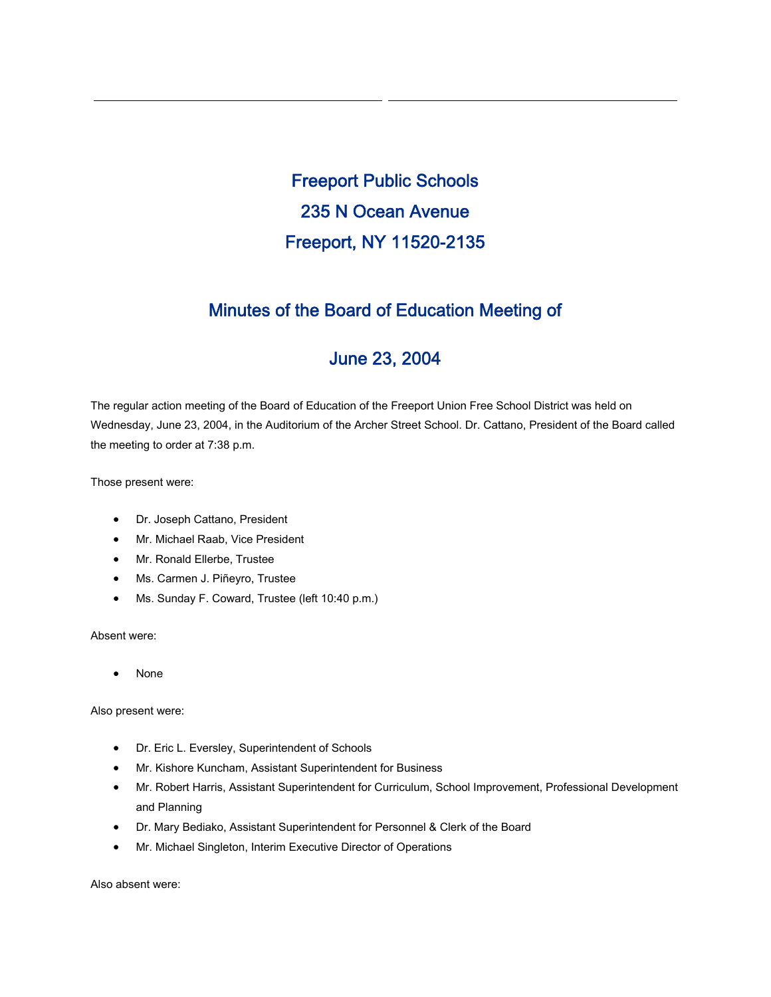Freeport Public Schools 235 N Ocean Avenue Freeport, NY 11520-2135

# Minutes of the Board of Education Meeting of

# June 23, 2004

The regular action meeting of the Board of Education of the Freeport Union Free School District was held on Wednesday, June 23, 2004, in the Auditorium of the Archer Street School. Dr. Cattano, President of the Board called the meeting to order at 7:38 p.m.

Those present were:

- Dr. Joseph Cattano, President
- Mr. Michael Raab, Vice President
- Mr. Ronald Ellerbe, Trustee
- Ms. Carmen J. Piñeyro, Trustee
- Ms. Sunday F. Coward, Trustee (left 10:40 p.m.)

Absent were:

• None

Also present were:

- Dr. Eric L. Eversley, Superintendent of Schools
- Mr. Kishore Kuncham, Assistant Superintendent for Business
- Mr. Robert Harris, Assistant Superintendent for Curriculum, School Improvement, Professional Development and Planning
- Dr. Mary Bediako, Assistant Superintendent for Personnel & Clerk of the Board
- Mr. Michael Singleton, Interim Executive Director of Operations

Also absent were: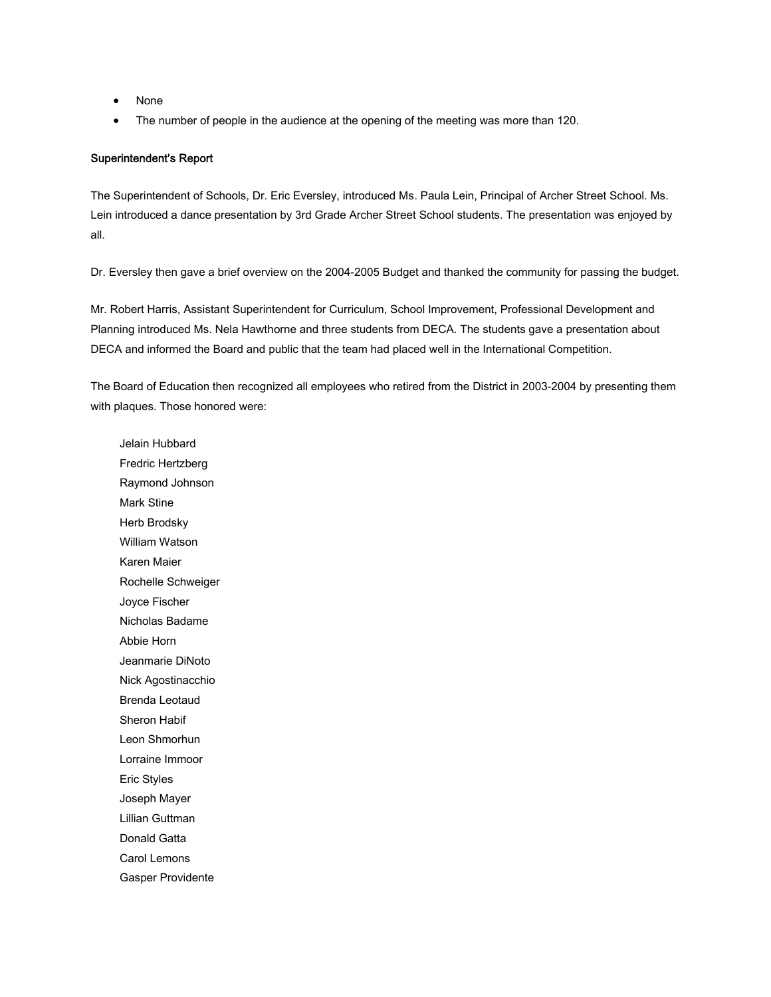- None
- The number of people in the audience at the opening of the meeting was more than 120.

### Superintendent's Report

The Superintendent of Schools, Dr. Eric Eversley, introduced Ms. Paula Lein, Principal of Archer Street School. Ms. Lein introduced a dance presentation by 3rd Grade Archer Street School students. The presentation was enjoyed by all.

Dr. Eversley then gave a brief overview on the 2004-2005 Budget and thanked the community for passing the budget.

Mr. Robert Harris, Assistant Superintendent for Curriculum, School Improvement, Professional Development and Planning introduced Ms. Nela Hawthorne and three students from DECA. The students gave a presentation about DECA and informed the Board and public that the team had placed well in the International Competition.

The Board of Education then recognized all employees who retired from the District in 2003-2004 by presenting them with plaques. Those honored were:

 Jelain Hubbard Fredric Hertzberg Raymond Johnson Mark Stine Herb Brodsky William Watson Karen Maier Rochelle Schweiger Joyce Fischer Nicholas Badame Abbie Horn Jeanmarie DiNoto Nick Agostinacchio Brenda Leotaud Sheron Habif Leon Shmorhun Lorraine Immoor Eric Styles Joseph Mayer Lillian Guttman Donald Gatta Carol Lemons Gasper Providente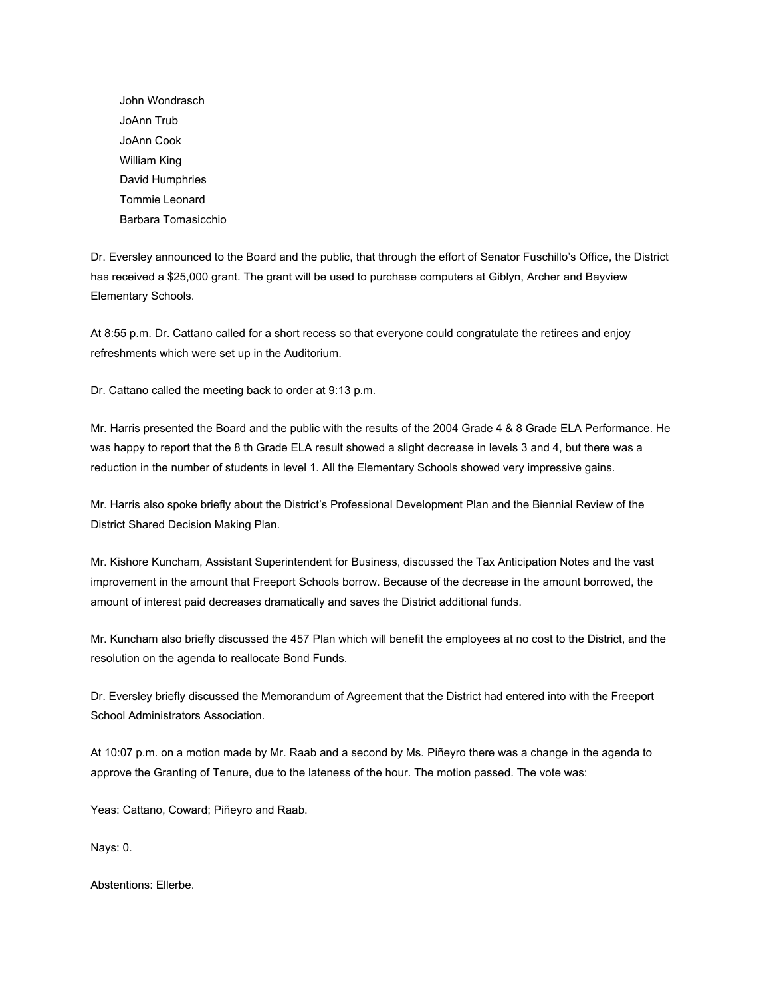John Wondrasch JoAnn Trub JoAnn Cook William King David Humphries Tommie Leonard Barbara Tomasicchio

Dr. Eversley announced to the Board and the public, that through the effort of Senator Fuschillo's Office, the District has received a \$25,000 grant. The grant will be used to purchase computers at Giblyn, Archer and Bayview Elementary Schools.

At 8:55 p.m. Dr. Cattano called for a short recess so that everyone could congratulate the retirees and enjoy refreshments which were set up in the Auditorium.

Dr. Cattano called the meeting back to order at 9:13 p.m.

Mr. Harris presented the Board and the public with the results of the 2004 Grade 4 & 8 Grade ELA Performance. He was happy to report that the 8 th Grade ELA result showed a slight decrease in levels 3 and 4, but there was a reduction in the number of students in level 1. All the Elementary Schools showed very impressive gains.

Mr. Harris also spoke briefly about the District's Professional Development Plan and the Biennial Review of the District Shared Decision Making Plan.

Mr. Kishore Kuncham, Assistant Superintendent for Business, discussed the Tax Anticipation Notes and the vast improvement in the amount that Freeport Schools borrow. Because of the decrease in the amount borrowed, the amount of interest paid decreases dramatically and saves the District additional funds.

Mr. Kuncham also briefly discussed the 457 Plan which will benefit the employees at no cost to the District, and the resolution on the agenda to reallocate Bond Funds.

Dr. Eversley briefly discussed the Memorandum of Agreement that the District had entered into with the Freeport School Administrators Association.

At 10:07 p.m. on a motion made by Mr. Raab and a second by Ms. Piñeyro there was a change in the agenda to approve the Granting of Tenure, due to the lateness of the hour. The motion passed. The vote was:

Yeas: Cattano, Coward; Piñeyro and Raab.

Nays: 0.

Abstentions: Ellerbe.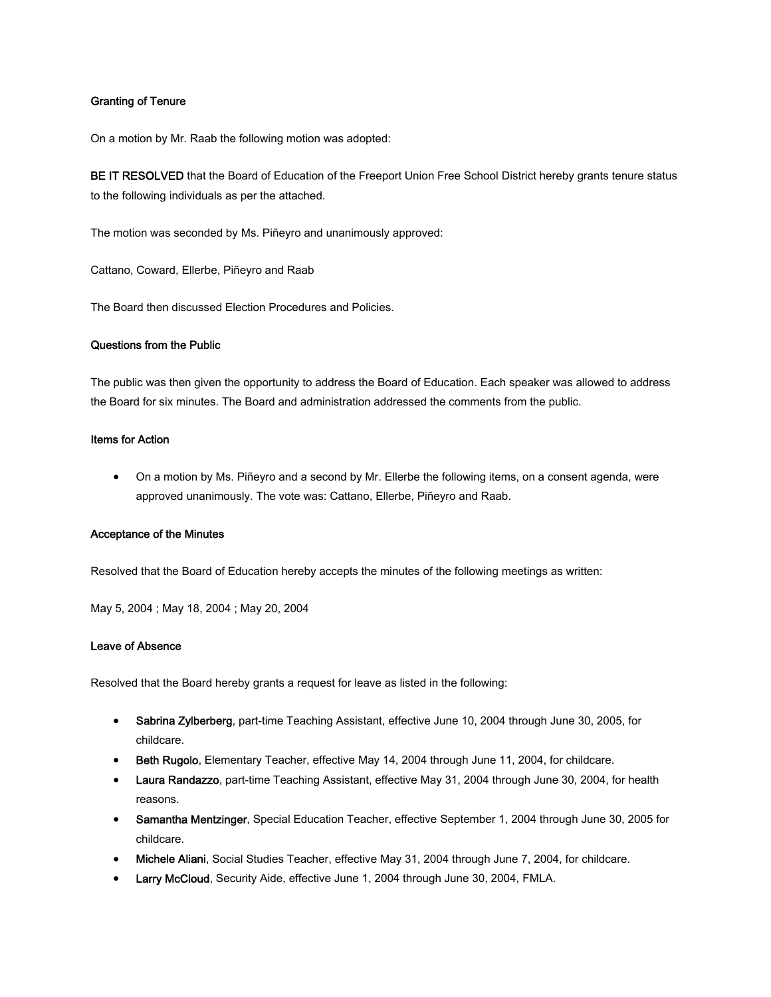### Granting of Tenure

On a motion by Mr. Raab the following motion was adopted:

BE IT RESOLVED that the Board of Education of the Freeport Union Free School District hereby grants tenure status to the following individuals as per the attached.

The motion was seconded by Ms. Piñeyro and unanimously approved:

Cattano, Coward, Ellerbe, Piñeyro and Raab

The Board then discussed Election Procedures and Policies.

#### Questions from the Public

The public was then given the opportunity to address the Board of Education. Each speaker was allowed to address the Board for six minutes. The Board and administration addressed the comments from the public.

### Items for Action

• On a motion by Ms. Piñeyro and a second by Mr. Ellerbe the following items, on a consent agenda, were approved unanimously. The vote was: Cattano, Ellerbe, Piñeyro and Raab.

### Acceptance of the Minutes

Resolved that the Board of Education hereby accepts the minutes of the following meetings as written:

May 5, 2004 ; May 18, 2004 ; May 20, 2004

### Leave of Absence

Resolved that the Board hereby grants a request for leave as listed in the following:

- Sabrina Zylberberg, part-time Teaching Assistant, effective June 10, 2004 through June 30, 2005, for childcare.
- Beth Rugolo, Elementary Teacher, effective May 14, 2004 through June 11, 2004, for childcare.
- Laura Randazzo, part-time Teaching Assistant, effective May 31, 2004 through June 30, 2004, for health reasons.
- Samantha Mentzinger, Special Education Teacher, effective September 1, 2004 through June 30, 2005 for childcare.
- Michele Aliani, Social Studies Teacher, effective May 31, 2004 through June 7, 2004, for childcare.
- Larry McCloud, Security Aide, effective June 1, 2004 through June 30, 2004, FMLA.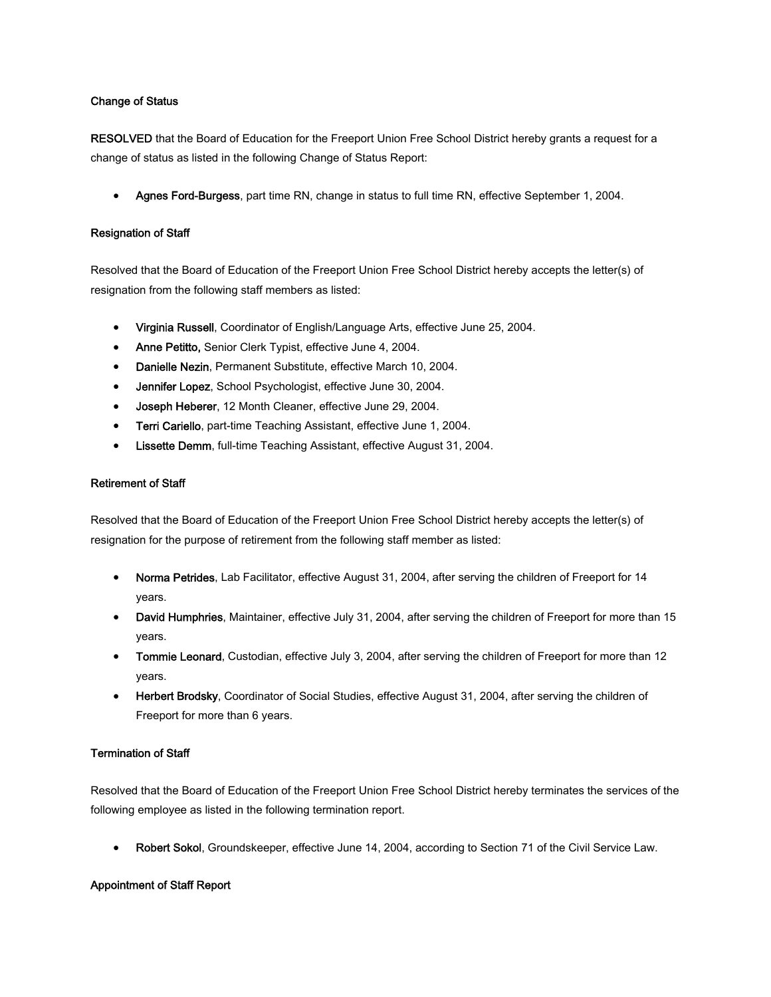### Change of Status

RESOLVED that the Board of Education for the Freeport Union Free School District hereby grants a request for a change of status as listed in the following Change of Status Report:

Agnes Ford-Burgess, part time RN, change in status to full time RN, effective September 1, 2004.

### Resignation of Staff

Resolved that the Board of Education of the Freeport Union Free School District hereby accepts the letter(s) of resignation from the following staff members as listed:

- Virginia Russell, Coordinator of English/Language Arts, effective June 25, 2004.
- Anne Petitto, Senior Clerk Typist, effective June 4, 2004.
- Danielle Nezin, Permanent Substitute, effective March 10, 2004.
- Jennifer Lopez, School Psychologist, effective June 30, 2004.
- Joseph Heberer, 12 Month Cleaner, effective June 29, 2004.
- Terri Cariello, part-time Teaching Assistant, effective June 1, 2004.
- Lissette Demm, full-time Teaching Assistant, effective August 31, 2004.

### Retirement of Staff

Resolved that the Board of Education of the Freeport Union Free School District hereby accepts the letter(s) of resignation for the purpose of retirement from the following staff member as listed:

- Norma Petrides, Lab Facilitator, effective August 31, 2004, after serving the children of Freeport for 14 years.
- David Humphries, Maintainer, effective July 31, 2004, after serving the children of Freeport for more than 15 years.
- Tommie Leonard, Custodian, effective July 3, 2004, after serving the children of Freeport for more than 12 years.
- Herbert Brodsky, Coordinator of Social Studies, effective August 31, 2004, after serving the children of Freeport for more than 6 years.

### Termination of Staff

Resolved that the Board of Education of the Freeport Union Free School District hereby terminates the services of the following employee as listed in the following termination report.

Robert Sokol, Groundskeeper, effective June 14, 2004, according to Section 71 of the Civil Service Law.

### Appointment of Staff Report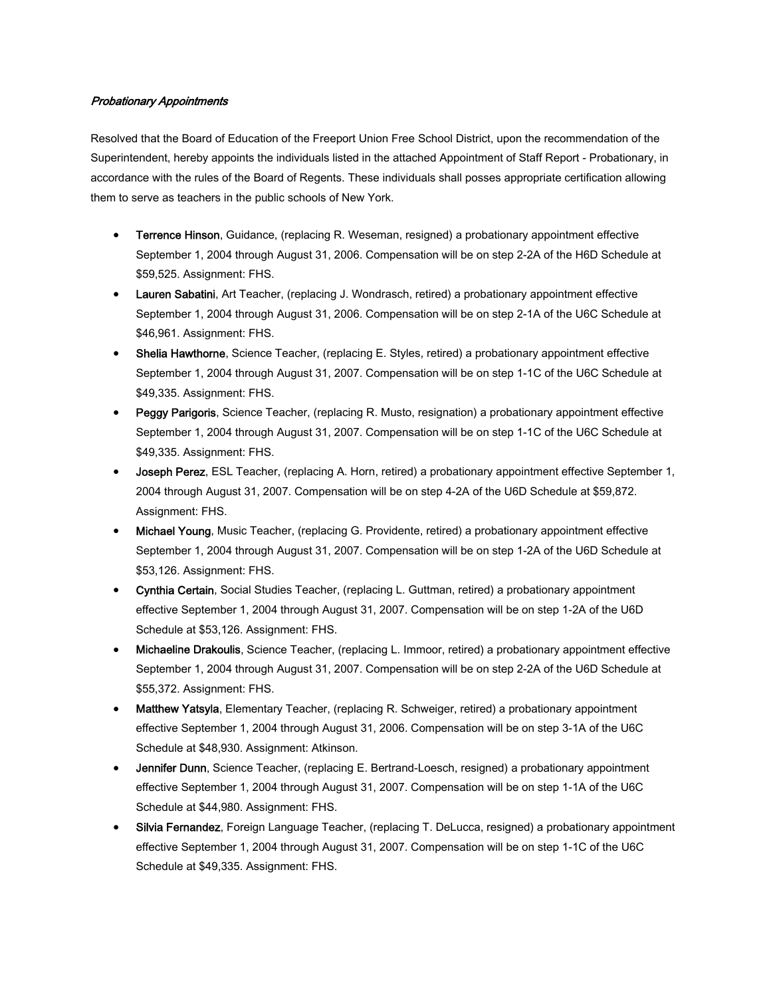### Probationary Appointments

Resolved that the Board of Education of the Freeport Union Free School District, upon the recommendation of the Superintendent, hereby appoints the individuals listed in the attached Appointment of Staff Report - Probationary, in accordance with the rules of the Board of Regents. These individuals shall posses appropriate certification allowing them to serve as teachers in the public schools of New York.

- Terrence Hinson, Guidance, (replacing R. Weseman, resigned) a probationary appointment effective September 1, 2004 through August 31, 2006. Compensation will be on step 2-2A of the H6D Schedule at \$59,525. Assignment: FHS.
- Lauren Sabatini, Art Teacher, (replacing J. Wondrasch, retired) a probationary appointment effective September 1, 2004 through August 31, 2006. Compensation will be on step 2-1A of the U6C Schedule at \$46,961. Assignment: FHS.
- Shelia Hawthorne, Science Teacher, (replacing E. Styles, retired) a probationary appointment effective September 1, 2004 through August 31, 2007. Compensation will be on step 1-1C of the U6C Schedule at \$49,335. Assignment: FHS.
- Peggy Parigoris, Science Teacher, (replacing R. Musto, resignation) a probationary appointment effective September 1, 2004 through August 31, 2007. Compensation will be on step 1-1C of the U6C Schedule at \$49,335. Assignment: FHS.
- Joseph Perez, ESL Teacher, (replacing A. Horn, retired) a probationary appointment effective September 1, 2004 through August 31, 2007. Compensation will be on step 4-2A of the U6D Schedule at \$59,872. Assignment: FHS.
- Michael Young, Music Teacher, (replacing G. Providente, retired) a probationary appointment effective September 1, 2004 through August 31, 2007. Compensation will be on step 1-2A of the U6D Schedule at \$53,126. Assignment: FHS.
- Cynthia Certain, Social Studies Teacher, (replacing L. Guttman, retired) a probationary appointment effective September 1, 2004 through August 31, 2007. Compensation will be on step 1-2A of the U6D Schedule at \$53,126. Assignment: FHS.
- Michaeline Drakoulis, Science Teacher, (replacing L. Immoor, retired) a probationary appointment effective September 1, 2004 through August 31, 2007. Compensation will be on step 2-2A of the U6D Schedule at \$55,372. Assignment: FHS.
- Matthew Yatsyla, Elementary Teacher, (replacing R. Schweiger, retired) a probationary appointment effective September 1, 2004 through August 31, 2006. Compensation will be on step 3-1A of the U6C Schedule at \$48,930. Assignment: Atkinson.
- Jennifer Dunn, Science Teacher, (replacing E. Bertrand-Loesch, resigned) a probationary appointment effective September 1, 2004 through August 31, 2007. Compensation will be on step 1-1A of the U6C Schedule at \$44,980. Assignment: FHS.
- Silvia Fernandez, Foreign Language Teacher, (replacing T. DeLucca, resigned) a probationary appointment effective September 1, 2004 through August 31, 2007. Compensation will be on step 1-1C of the U6C Schedule at \$49,335. Assignment: FHS.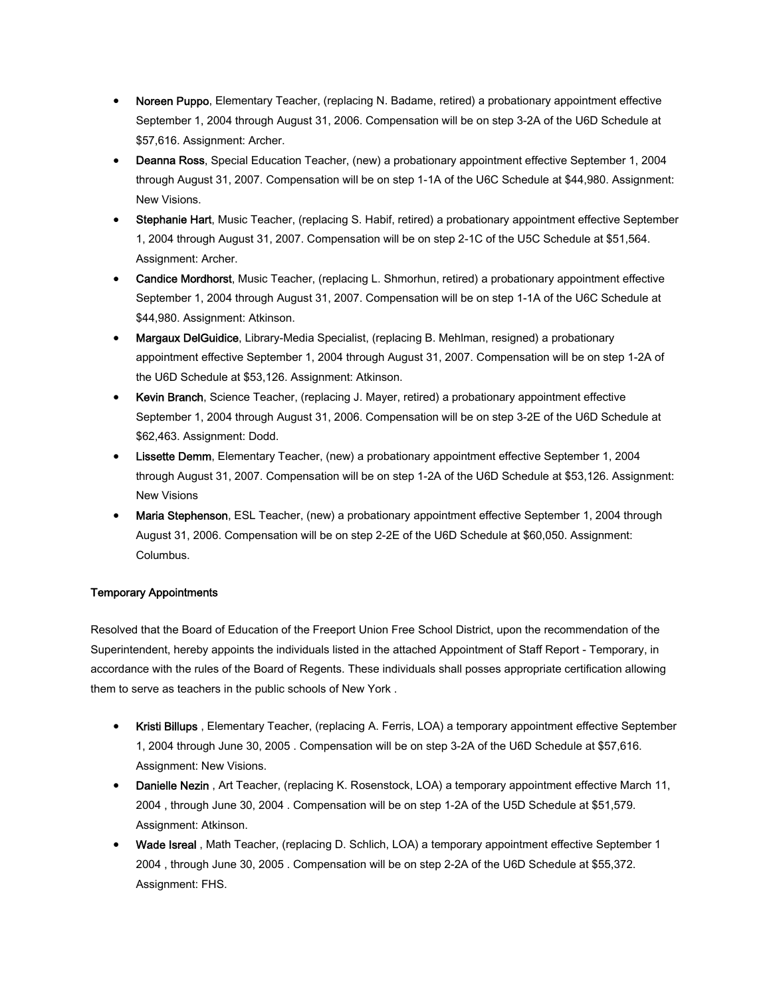- Noreen Puppo, Elementary Teacher, (replacing N. Badame, retired) a probationary appointment effective September 1, 2004 through August 31, 2006. Compensation will be on step 3-2A of the U6D Schedule at \$57,616. Assignment: Archer.
- Deanna Ross, Special Education Teacher, (new) a probationary appointment effective September 1, 2004 through August 31, 2007. Compensation will be on step 1-1A of the U6C Schedule at \$44,980. Assignment: New Visions.
- Stephanie Hart, Music Teacher, (replacing S. Habif, retired) a probationary appointment effective September 1, 2004 through August 31, 2007. Compensation will be on step 2-1C of the U5C Schedule at \$51,564. Assignment: Archer.
- Candice Mordhorst, Music Teacher, (replacing L. Shmorhun, retired) a probationary appointment effective September 1, 2004 through August 31, 2007. Compensation will be on step 1-1A of the U6C Schedule at \$44,980. Assignment: Atkinson.
- Margaux DelGuidice, Library-Media Specialist, (replacing B. Mehlman, resigned) a probationary appointment effective September 1, 2004 through August 31, 2007. Compensation will be on step 1-2A of the U6D Schedule at \$53,126. Assignment: Atkinson.
- Kevin Branch, Science Teacher, (replacing J. Mayer, retired) a probationary appointment effective September 1, 2004 through August 31, 2006. Compensation will be on step 3-2E of the U6D Schedule at \$62,463. Assignment: Dodd.
- Lissette Demm, Elementary Teacher, (new) a probationary appointment effective September 1, 2004 through August 31, 2007. Compensation will be on step 1-2A of the U6D Schedule at \$53,126. Assignment: New Visions
- Maria Stephenson, ESL Teacher, (new) a probationary appointment effective September 1, 2004 through August 31, 2006. Compensation will be on step 2-2E of the U6D Schedule at \$60,050. Assignment: Columbus.

### Temporary Appointments

Resolved that the Board of Education of the Freeport Union Free School District, upon the recommendation of the Superintendent, hereby appoints the individuals listed in the attached Appointment of Staff Report - Temporary, in accordance with the rules of the Board of Regents. These individuals shall posses appropriate certification allowing them to serve as teachers in the public schools of New York .

- Kristi Billups, Elementary Teacher, (replacing A. Ferris, LOA) a temporary appointment effective September 1, 2004 through June 30, 2005 . Compensation will be on step 3-2A of the U6D Schedule at \$57,616. Assignment: New Visions.
- Danielle Nezin, Art Teacher, (replacing K. Rosenstock, LOA) a temporary appointment effective March 11, 2004 , through June 30, 2004 . Compensation will be on step 1-2A of the U5D Schedule at \$51,579. Assignment: Atkinson.
- Wade Isreal , Math Teacher, (replacing D. Schlich, LOA) a temporary appointment effective September 1 2004 , through June 30, 2005 . Compensation will be on step 2-2A of the U6D Schedule at \$55,372. Assignment: FHS.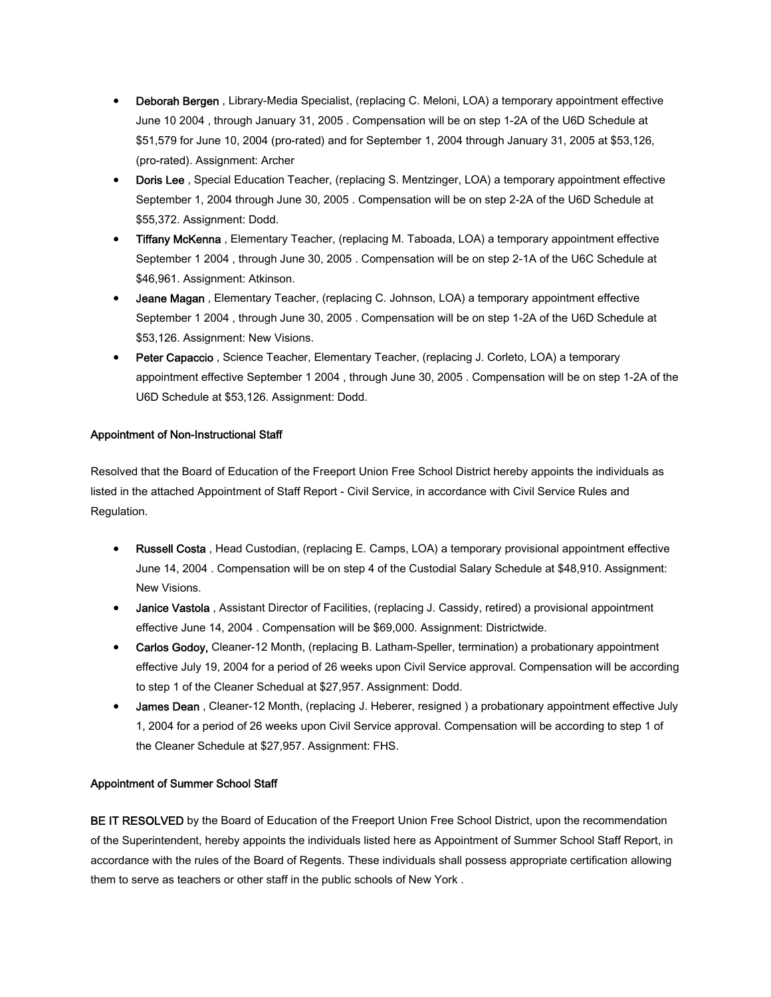- Deborah Bergen , Library-Media Specialist, (replacing C. Meloni, LOA) a temporary appointment effective June 10 2004 , through January 31, 2005 . Compensation will be on step 1-2A of the U6D Schedule at \$51,579 for June 10, 2004 (pro-rated) and for September 1, 2004 through January 31, 2005 at \$53,126, (pro-rated). Assignment: Archer
- Doris Lee, Special Education Teacher, (replacing S. Mentzinger, LOA) a temporary appointment effective September 1, 2004 through June 30, 2005 . Compensation will be on step 2-2A of the U6D Schedule at \$55,372. Assignment: Dodd.
- **Tiffany McKenna**, Elementary Teacher, (replacing M. Taboada, LOA) a temporary appointment effective September 1 2004 , through June 30, 2005 . Compensation will be on step 2-1A of the U6C Schedule at \$46,961. Assignment: Atkinson.
- Jeane Magan , Elementary Teacher, (replacing C. Johnson, LOA) a temporary appointment effective September 1 2004 , through June 30, 2005 . Compensation will be on step 1-2A of the U6D Schedule at \$53,126. Assignment: New Visions.
- Peter Capaccio, Science Teacher, Elementary Teacher, (replacing J. Corleto, LOA) a temporary appointment effective September 1 2004 , through June 30, 2005 . Compensation will be on step 1-2A of the U6D Schedule at \$53,126. Assignment: Dodd.

### Appointment of Non-Instructional Staff

Resolved that the Board of Education of the Freeport Union Free School District hereby appoints the individuals as listed in the attached Appointment of Staff Report - Civil Service, in accordance with Civil Service Rules and Regulation.

- Russell Costa , Head Custodian, (replacing E. Camps, LOA) a temporary provisional appointment effective June 14, 2004 . Compensation will be on step 4 of the Custodial Salary Schedule at \$48,910. Assignment: New Visions.
- Janice Vastola, Assistant Director of Facilities, (replacing J. Cassidy, retired) a provisional appointment effective June 14, 2004 . Compensation will be \$69,000. Assignment: Districtwide.
- Carlos Godoy, Cleaner-12 Month, (replacing B. Latham-Speller, termination) a probationary appointment effective July 19, 2004 for a period of 26 weeks upon Civil Service approval. Compensation will be according to step 1 of the Cleaner Schedual at \$27,957. Assignment: Dodd.
- James Dean, Cleaner-12 Month, (replacing J. Heberer, resigned) a probationary appointment effective July 1, 2004 for a period of 26 weeks upon Civil Service approval. Compensation will be according to step 1 of the Cleaner Schedule at \$27,957. Assignment: FHS.

### Appointment of Summer School Staff

BE IT RESOLVED by the Board of Education of the Freeport Union Free School District, upon the recommendation of the Superintendent, hereby appoints the individuals listed here as Appointment of Summer School Staff Report, in accordance with the rules of the Board of Regents. These individuals shall possess appropriate certification allowing them to serve as teachers or other staff in the public schools of New York .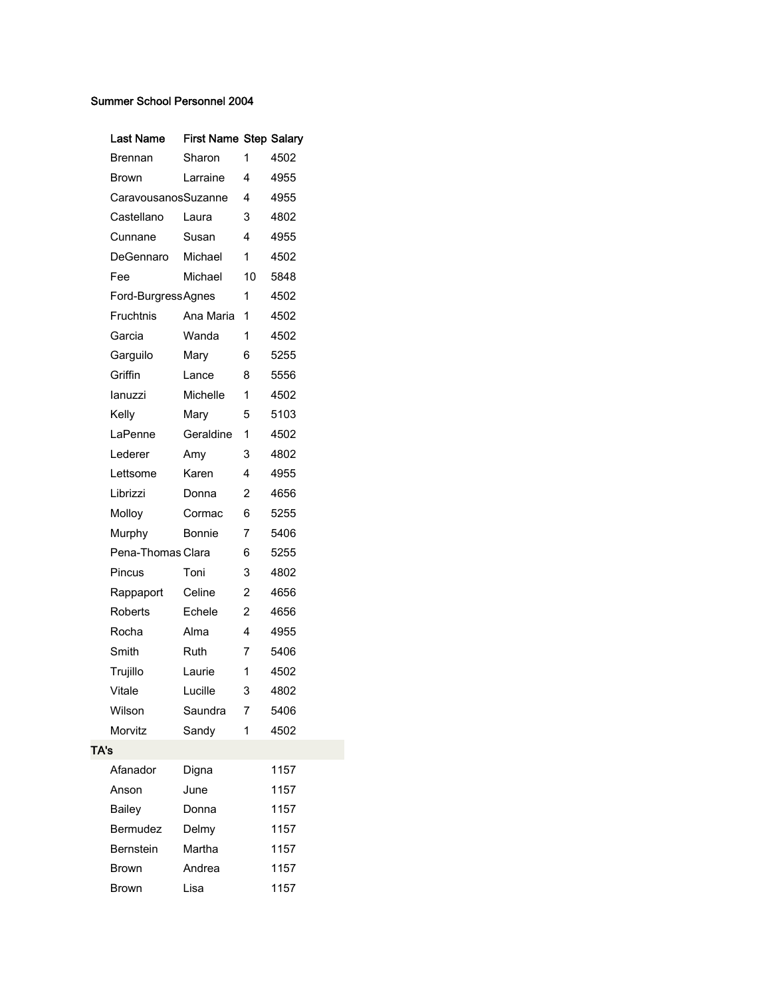### Summer School Personnel 2004

|      | Last Name           | First Name Step Salary |                         |      |
|------|---------------------|------------------------|-------------------------|------|
|      | Brennan             | Sharon                 | 1                       | 4502 |
|      | <b>Brown</b>        | Larraine               | 4                       | 4955 |
|      | CaravousanosSuzanne |                        | 4                       | 4955 |
|      | Castellano          | Laura                  | 3                       | 4802 |
|      | Cunnane             | Susan                  | 4                       | 4955 |
|      | DeGennaro           | Michael                | 1                       | 4502 |
|      | Fee                 | Michael                | 10                      | 5848 |
|      | Ford-BurgressAgnes  |                        | 1                       | 4502 |
|      | Fruchtnis           | Ana Maria              | 1                       | 4502 |
|      | Garcia              | Wanda                  | 1                       | 4502 |
|      | Garguilo            | Mary                   | 6                       | 5255 |
|      | Griffin             | Lance                  | 8                       | 5556 |
|      | lanuzzi             | Michelle               | 1                       | 4502 |
|      | Kelly               | Mary                   | 5                       | 5103 |
|      | LaPenne             | Geraldine              | 1                       | 4502 |
|      | Lederer             | Amy                    | 3                       | 4802 |
|      | Lettsome            | Karen                  | 4                       | 4955 |
|      | Librizzi            | Donna                  | 2                       | 4656 |
|      | Molloy              | Cormac                 | 6                       | 5255 |
|      | Murphy              | Bonnie                 | 7                       | 5406 |
|      | Pena-Thomas Clara   |                        | 6                       | 5255 |
|      | Pincus              | Toni                   | 3                       | 4802 |
|      | Rappaport           | Celine                 | 2                       | 4656 |
|      | Roberts             | Echele                 | $\overline{\mathbf{c}}$ | 4656 |
|      | Rocha               | Alma                   | 4                       | 4955 |
|      | Smith               | Ruth                   | 7                       | 5406 |
|      | Trujillo            | Laurie                 | 1                       | 4502 |
|      | Vitale              | Lucille                | 3                       | 4802 |
|      | Wilson              | Saundra                | 7                       | 5406 |
|      | Morvitz             | Sandy                  | 1                       | 4502 |
| TA's |                     |                        |                         |      |
|      | Afanador            | Digna                  |                         | 1157 |
|      | Anson               | June                   |                         | 1157 |
|      | <b>Bailey</b>       | Donna                  |                         | 1157 |
|      | Bermudez            | Delmy                  |                         | 1157 |
|      | Bernstein           | Martha                 |                         | 1157 |
|      | Brown               | Andrea                 |                         | 1157 |
|      | Brown               | Lisa                   |                         | 1157 |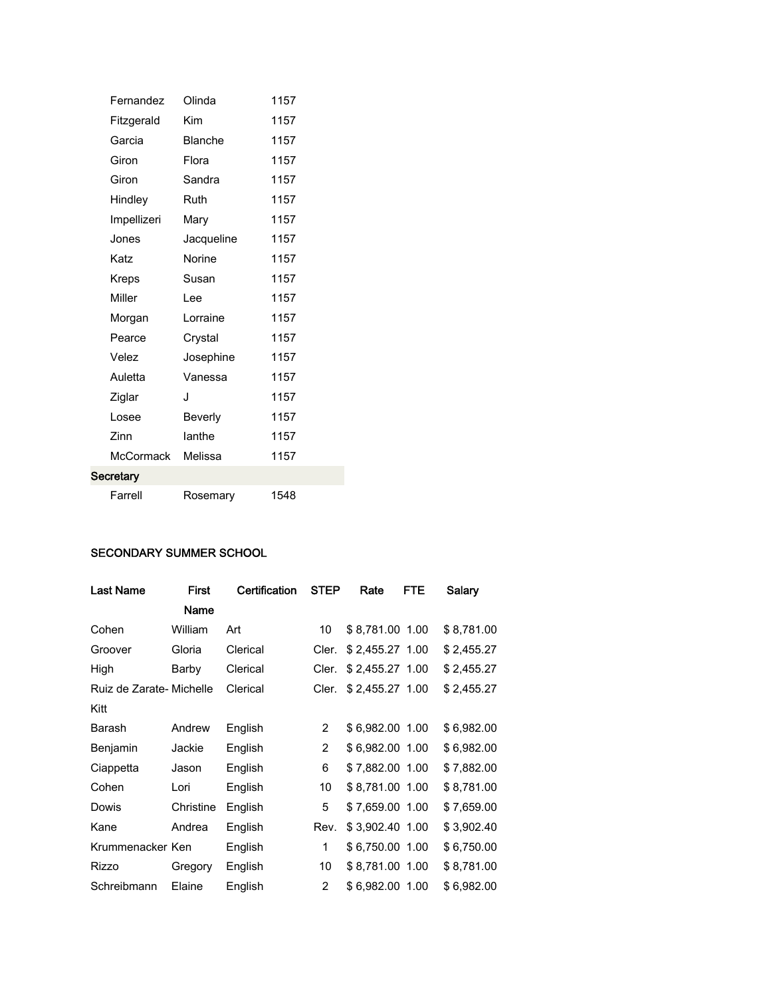|           | Fernandez        | Olinda         | 1157 |  |  |
|-----------|------------------|----------------|------|--|--|
|           | Fitzgerald       | Kim            | 1157 |  |  |
|           | Garcia           | Blanche        | 1157 |  |  |
|           | Giron            | Flora          | 1157 |  |  |
|           | Giron            | Sandra         | 1157 |  |  |
|           | Hindley          | Ruth           | 1157 |  |  |
|           | Impellizeri      | Mary           | 1157 |  |  |
|           | Jones            | Jacqueline     | 1157 |  |  |
|           | Katz             | Norine         | 1157 |  |  |
|           | Kreps            | Susan          | 1157 |  |  |
|           | Miller           | Lee            | 1157 |  |  |
|           | Morgan           | Lorraine       | 1157 |  |  |
|           | Pearce           | Crystal        | 1157 |  |  |
|           | Velez            | Josephine      | 1157 |  |  |
|           | Auletta          | Vanessa        | 1157 |  |  |
|           | Ziglar           | J              | 1157 |  |  |
|           | Losee            | <b>Beverly</b> | 1157 |  |  |
|           | Zinn             | lanthe         | 1157 |  |  |
|           | <b>McCormack</b> | Melissa        | 1157 |  |  |
| Secretary |                  |                |      |  |  |
|           | Farrell          | Rosemary       | 1548 |  |  |

### SECONDARY SUMMER SCHOOL

| <b>Last Name</b>         | <b>First</b> | Certification | STEP           | Rate            | FTE | Salary     |
|--------------------------|--------------|---------------|----------------|-----------------|-----|------------|
|                          | Name         |               |                |                 |     |            |
| Cohen                    | William      | Art           | 10             | \$8,781.00 1.00 |     | \$8,781.00 |
| Groover                  | Gloria       | Clerical      | Cler.          | \$2,455.27 1.00 |     | \$2,455.27 |
| High                     | Barby        | Clerical      | Cler.          | \$2,455.27 1.00 |     | \$2,455.27 |
| Ruiz de Zarate- Michelle |              | Clerical      | Cler.          | \$2,455.27 1.00 |     | \$2,455.27 |
| Kitt                     |              |               |                |                 |     |            |
| Barash                   | Andrew       | English       | 2              | \$6,982.00 1.00 |     | \$6,982.00 |
| Benjamin                 | Jackie       | English       | $\overline{2}$ | \$6,982.00 1.00 |     | \$6,982.00 |
| Ciappetta                | Jason        | English       | 6              | \$7,882.00 1.00 |     | \$7,882.00 |
| Cohen                    | Lori         | English       | 10             | \$8,781.00 1.00 |     | \$8,781.00 |
| Dowis                    | Christine    | English       | 5              | \$7,659.00 1.00 |     | \$7,659.00 |
| Kane                     | Andrea       | English       | Rev.           | \$3,902.40 1.00 |     | \$3,902.40 |
| Krummenacker Ken         |              | English       | 1              | \$6,750.00 1.00 |     | \$6,750.00 |
| Rizzo                    | Gregory      | English       | 10             | \$8,781.00 1.00 |     | \$8,781.00 |
| Schreibmann              | Elaine       | English       | $\overline{2}$ | \$6,982.00 1.00 |     | \$6,982.00 |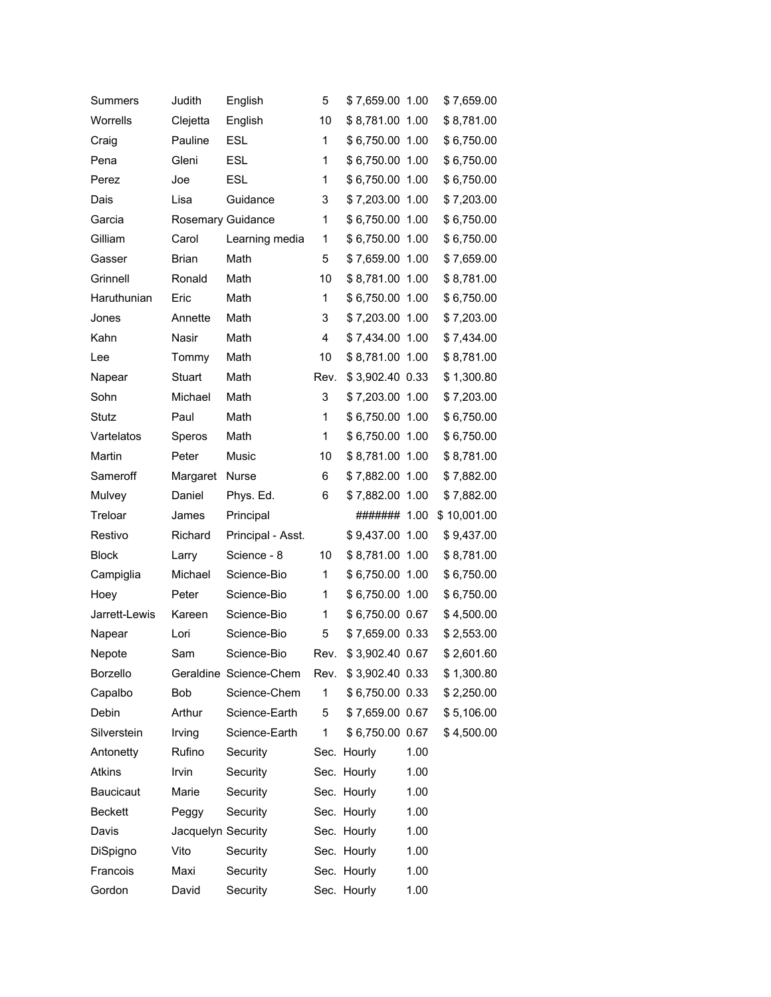| Summers          | Judith             | English                | 5              | \$7,659.00 1.00      |      | \$7,659.00  |
|------------------|--------------------|------------------------|----------------|----------------------|------|-------------|
| Worrells         | Clejetta           | English                | 10             | \$8,781.00 1.00      |      | \$8,781.00  |
| Craig            | Pauline            | <b>ESL</b>             | 1              | \$6,750.00 1.00      |      | \$6,750.00  |
| Pena             | Gleni              | <b>ESL</b>             | 1              | \$6,750.00 1.00      |      | \$6,750.00  |
| Perez            | Joe                | <b>ESL</b>             | 1              | \$6,750.00 1.00      |      | \$6,750.00  |
| Dais             | Lisa               | Guidance               | 3              | \$7,203.00 1.00      |      | \$7,203.00  |
| Garcia           | Rosemary Guidance  |                        | 1              | \$6,750.00 1.00      |      | \$6,750.00  |
| Gilliam          | Carol              | Learning media         | 1              | \$6,750.00 1.00      |      | \$6,750.00  |
| Gasser           | <b>Brian</b>       | Math                   | 5              | \$7,659.00 1.00      |      | \$7,659.00  |
| Grinnell         | Ronald             | Math                   | 10             | \$8,781.00 1.00      |      | \$8,781.00  |
| Haruthunian      | Eric               | Math                   | 1              | \$6,750.00 1.00      |      | \$6,750.00  |
| Jones            | Annette            | Math                   | 3              | \$7,203.00 1.00      |      | \$7,203.00  |
| Kahn             | <b>Nasir</b>       | Math                   | $\overline{4}$ | \$7,434.00 1.00      |      | \$7,434.00  |
| Lee              | Tommy              | Math                   | 10             | \$8,781.00 1.00      |      | \$8,781.00  |
| Napear           | Stuart             | Math                   | Rev.           | \$3,902.40 0.33      |      | \$1,300.80  |
| Sohn             | Michael            | Math                   | 3              | \$7,203.00 1.00      |      | \$7,203.00  |
| Stutz            | Paul               | Math                   | 1              | \$6,750.00 1.00      |      | \$6,750.00  |
| Vartelatos       | Speros             | Math                   | $\mathbf{1}$   | \$6,750.00 1.00      |      | \$6,750.00  |
| Martin           | Peter              | Music                  | 10             | \$8,781.00 1.00      |      | \$8,781.00  |
| Sameroff         | Margaret           | Nurse                  | 6              | \$7,882.00 1.00      |      | \$7,882.00  |
| Mulvey           | Daniel             | Phys. Ed.              | 6              | \$7,882.00 1.00      |      | \$7,882.00  |
| Treloar          | James              | Principal              |                | ######## 1.00        |      | \$10,001.00 |
| Restivo          | Richard            | Principal - Asst.      |                | \$9,437.00 1.00      |      | \$9,437.00  |
| <b>Block</b>     | Larry              | Science - 8            | 10             | \$8,781.00 1.00      |      | \$8,781.00  |
| Campiglia        | Michael            | Science-Bio            | 1              | \$6,750.00 1.00      |      | \$6,750.00  |
| Hoey             | Peter              | Science-Bio            | 1              | \$6,750.00 1.00      |      | \$6,750.00  |
| Jarrett-Lewis    | Kareen             | Science-Bio            | 1              | \$6,750.00 0.67      |      | \$4,500.00  |
| Napear           | Lori               | Science-Bio            | 5              | \$7,659.00 0.33      |      | \$2,553.00  |
| Nepote           | Sam                | Science-Bio            | Rev.           | \$3,902.40 0.67      |      | \$2,601.60  |
| Borzello         |                    | Geraldine Science-Chem |                | Rev. \$3,902.40 0.33 |      | \$1,300.80  |
| Capalbo          | Bob                | Science-Chem           | $1 \quad$      | \$6,750.00 0.33      |      | \$2,250.00  |
| Debin            | Arthur             | Science-Earth          | 5 <sub>5</sub> | \$7,659.00 0.67      |      | \$5,106.00  |
| Silverstein      | Irving             | Science-Earth          | $\mathbf 1$    | \$6,750.00 0.67      |      | \$4,500.00  |
| Antonetty        | Rufino             | Security               |                | Sec. Hourly          | 1.00 |             |
| Atkins           | Irvin              | Security               |                | Sec. Hourly          | 1.00 |             |
| <b>Baucicaut</b> | Marie              | Security               |                | Sec. Hourly          | 1.00 |             |
| <b>Beckett</b>   | Peggy              | Security               |                | Sec. Hourly          | 1.00 |             |
| Davis            | Jacquelyn Security |                        |                | Sec. Hourly          | 1.00 |             |
| DiSpigno         | Vito               | Security               |                | Sec. Hourly          | 1.00 |             |
| Francois         | Maxi               | Security               |                | Sec. Hourly          | 1.00 |             |
| Gordon           | David              | Security               |                | Sec. Hourly          | 1.00 |             |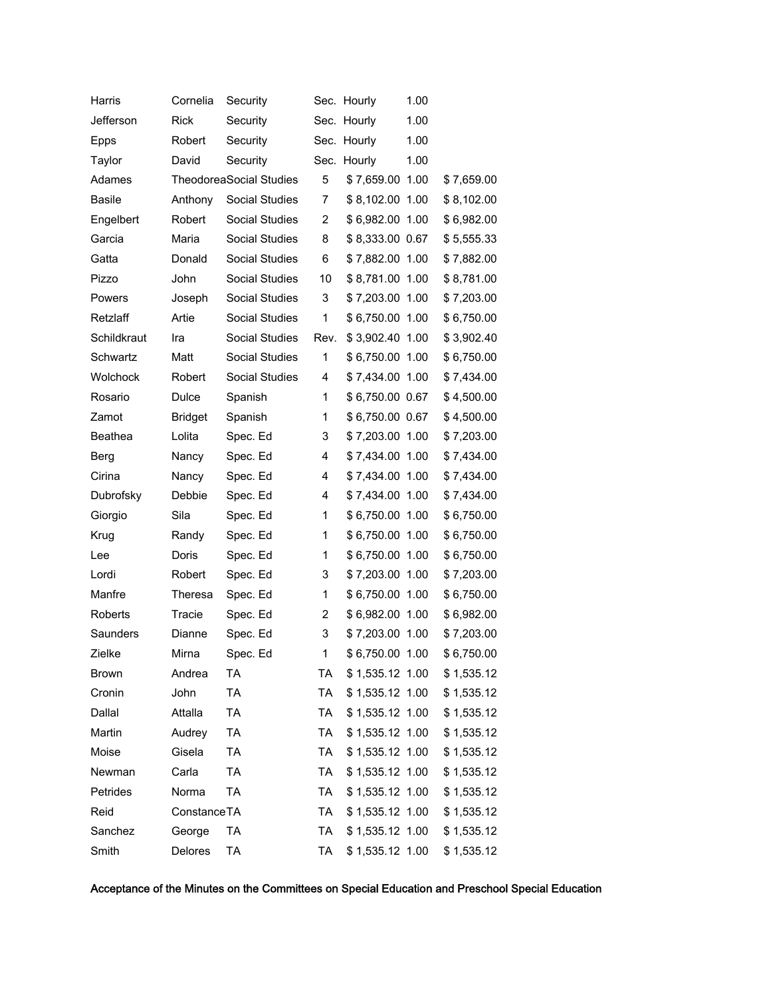| Harris         | Cornelia                       | Security              |              | Sec. Hourly      | 1.00 |            |
|----------------|--------------------------------|-----------------------|--------------|------------------|------|------------|
| Jefferson      | <b>Rick</b>                    | Security              |              | Sec. Hourly      | 1.00 |            |
| <b>Epps</b>    | Robert                         | Security              |              | Sec. Hourly      | 1.00 |            |
| Taylor         | David                          | Security              |              | Sec. Hourly      | 1.00 |            |
| Adames         | <b>TheodoreaSocial Studies</b> |                       | 5            | \$7,659.00 1.00  |      | \$7,659.00 |
| <b>Basile</b>  | Anthony                        | Social Studies        | 7            | \$8,102.00 1.00  |      | \$8,102.00 |
| Engelbert      | Robert                         | Social Studies        | 2            | \$6,982.00 1.00  |      | \$6,982.00 |
| Garcia         | Maria                          | <b>Social Studies</b> | 8            | \$8,333.00 0.67  |      | \$5,555.33 |
| Gatta          | Donald                         | Social Studies        | 6            | \$7,882.00 1.00  |      | \$7,882.00 |
| Pizzo          | John                           | Social Studies        | 10           | \$8,781.00 1.00  |      | \$8,781.00 |
| Powers         | Joseph                         | Social Studies        | 3            | \$7,203.00 1.00  |      | \$7,203.00 |
| Retzlaff       | Artie                          | <b>Social Studies</b> | 1            | \$6,750.00 1.00  |      | \$6,750.00 |
| Schildkraut    | Ira                            | Social Studies        | Rev.         | \$3,902.40 1.00  |      | \$3,902.40 |
| Schwartz       | Matt                           | Social Studies        | $\mathbf{1}$ | \$6,750.00 1.00  |      | \$6,750.00 |
| Wolchock       | Robert                         | Social Studies        | 4            | \$7,434.00 1.00  |      | \$7,434.00 |
| Rosario        | <b>Dulce</b>                   | Spanish               | 1            | \$6,750.00 0.67  |      | \$4,500.00 |
| Zamot          | Bridget                        | Spanish               | 1            | \$6,750.00 0.67  |      | \$4,500.00 |
| <b>Beathea</b> | Lolita                         | Spec. Ed              | 3            | \$7,203.00 1.00  |      | \$7,203.00 |
| Berg           | Nancy                          | Spec. Ed              | 4            | \$7,434.00 1.00  |      | \$7,434.00 |
| Cirina         | Nancy                          | Spec. Ed              | 4            | \$7,434.00 1.00  |      | \$7,434.00 |
| Dubrofsky      | Debbie                         | Spec. Ed              | 4            | \$7,434.00 1.00  |      | \$7,434.00 |
| Giorgio        | Sila                           | Spec. Ed              | 1            | \$6,750.00 1.00  |      | \$6,750.00 |
| Krug           | Randy                          | Spec. Ed              | 1            | \$6,750.00 1.00  |      | \$6,750.00 |
| Lee            | Doris                          | Spec. Ed              | 1            | \$6,750.00 1.00  |      | \$6,750.00 |
| Lordi          | Robert                         | Spec. Ed              | 3            | \$7,203.00 1.00  |      | \$7,203.00 |
| Manfre         | Theresa                        | Spec. Ed              | 1            | \$6,750.00 1.00  |      | \$6,750.00 |
| Roberts        | Tracie                         | Spec. Ed              | 2            | \$6,982.00 1.00  |      | \$6,982.00 |
| Saunders       | Dianne                         | Spec. Ed              | 3            | \$7,203.00 1.00  |      | \$7,203.00 |
| Zielke         | Mirna                          | Spec. Ed              | 1            | \$6,750.00 1.00  |      | \$6,750.00 |
| <b>Brown</b>   | Andrea                         | TA                    | <b>TA</b>    | \$1,535.12 1.00  |      | \$1,535.12 |
| Cronin         | John                           | <b>TA</b>             | TA           | \$1,535.12 1.00  |      | \$1,535.12 |
| Dallal         | Attalla                        | TA                    | TA           | \$1,535.12 1.00  |      | \$1,535.12 |
| Martin         | Audrey                         | <b>TA</b>             | TA           | \$1,535.12 1.00  |      | \$1,535.12 |
| Moise          | Gisela                         | <b>TA</b>             | <b>TA</b>    | \$1,535.12 1.00  |      | \$1,535.12 |
| Newman         | Carla                          | <b>TA</b>             | TA           | $$1,535.12$ 1.00 |      | \$1,535.12 |
| Petrides       | Norma                          | ТA                    | TA           | \$1,535.12 1.00  |      | \$1,535.12 |
| Reid           | ConstanceTA                    |                       | TA           | \$1,535.12 1.00  |      | \$1,535.12 |
| Sanchez        | George                         | TA                    | TA           | \$1,535.12 1.00  |      | \$1,535.12 |
| Smith          | Delores                        | TA                    | TA           | \$1,535.12 1.00  |      | \$1,535.12 |

Acceptance of the Minutes on the Committees on Special Education and Preschool Special Education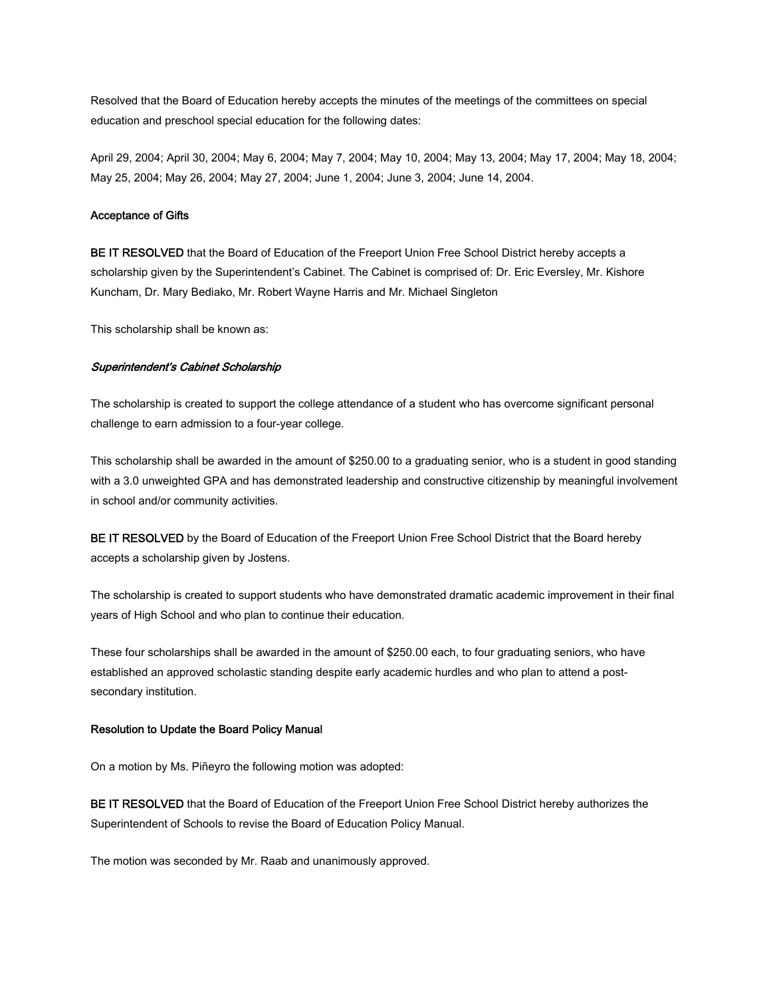Resolved that the Board of Education hereby accepts the minutes of the meetings of the committees on special education and preschool special education for the following dates:

April 29, 2004; April 30, 2004; May 6, 2004; May 7, 2004; May 10, 2004; May 13, 2004; May 17, 2004; May 18, 2004; May 25, 2004; May 26, 2004; May 27, 2004; June 1, 2004; June 3, 2004; June 14, 2004.

#### Acceptance of Gifts

BE IT RESOLVED that the Board of Education of the Freeport Union Free School District hereby accepts a scholarship given by the Superintendent's Cabinet. The Cabinet is comprised of: Dr. Eric Eversley, Mr. Kishore Kuncham, Dr. Mary Bediako, Mr. Robert Wayne Harris and Mr. Michael Singleton

This scholarship shall be known as:

### Superintendent's Cabinet Scholarship

The scholarship is created to support the college attendance of a student who has overcome significant personal challenge to earn admission to a four-year college.

This scholarship shall be awarded in the amount of \$250.00 to a graduating senior, who is a student in good standing with a 3.0 unweighted GPA and has demonstrated leadership and constructive citizenship by meaningful involvement in school and/or community activities.

BE IT RESOLVED by the Board of Education of the Freeport Union Free School District that the Board hereby accepts a scholarship given by Jostens.

The scholarship is created to support students who have demonstrated dramatic academic improvement in their final years of High School and who plan to continue their education.

These four scholarships shall be awarded in the amount of \$250.00 each, to four graduating seniors, who have established an approved scholastic standing despite early academic hurdles and who plan to attend a postsecondary institution.

#### Resolution to Update the Board Policy Manual

On a motion by Ms. Piñeyro the following motion was adopted:

BE IT RESOLVED that the Board of Education of the Freeport Union Free School District hereby authorizes the Superintendent of Schools to revise the Board of Education Policy Manual.

The motion was seconded by Mr. Raab and unanimously approved.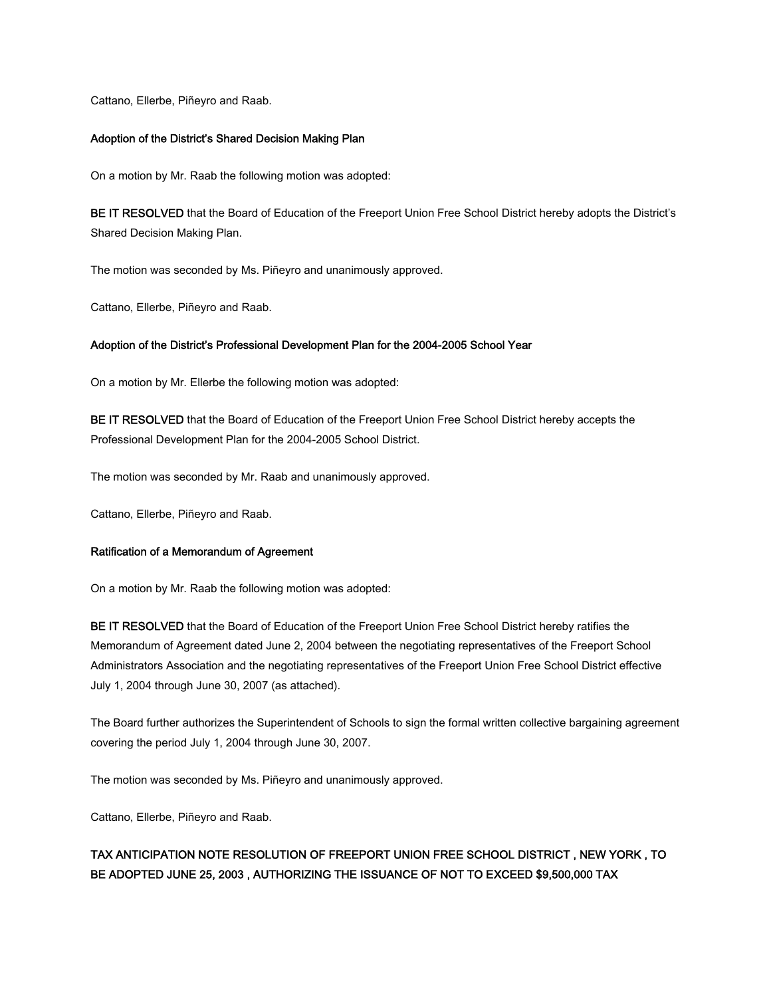Cattano, Ellerbe, Piñeyro and Raab.

#### Adoption of the District's Shared Decision Making Plan

On a motion by Mr. Raab the following motion was adopted:

BE IT RESOLVED that the Board of Education of the Freeport Union Free School District hereby adopts the District's Shared Decision Making Plan.

The motion was seconded by Ms. Piñeyro and unanimously approved.

Cattano, Ellerbe, Piñeyro and Raab.

#### Adoption of the District's Professional Development Plan for the 2004-2005 School Year

On a motion by Mr. Ellerbe the following motion was adopted:

BE IT RESOLVED that the Board of Education of the Freeport Union Free School District hereby accepts the Professional Development Plan for the 2004-2005 School District.

The motion was seconded by Mr. Raab and unanimously approved.

Cattano, Ellerbe, Piñeyro and Raab.

#### Ratification of a Memorandum of Agreement

On a motion by Mr. Raab the following motion was adopted:

BE IT RESOLVED that the Board of Education of the Freeport Union Free School District hereby ratifies the Memorandum of Agreement dated June 2, 2004 between the negotiating representatives of the Freeport School Administrators Association and the negotiating representatives of the Freeport Union Free School District effective July 1, 2004 through June 30, 2007 (as attached).

The Board further authorizes the Superintendent of Schools to sign the formal written collective bargaining agreement covering the period July 1, 2004 through June 30, 2007.

The motion was seconded by Ms. Piñeyro and unanimously approved.

Cattano, Ellerbe, Piñeyro and Raab.

## TAX ANTICIPATION NOTE RESOLUTION OF FREEPORT UNION FREE SCHOOL DISTRICT , NEW YORK , TO BE ADOPTED JUNE 25, 2003 , AUTHORIZING THE ISSUANCE OF NOT TO EXCEED \$9,500,000 TAX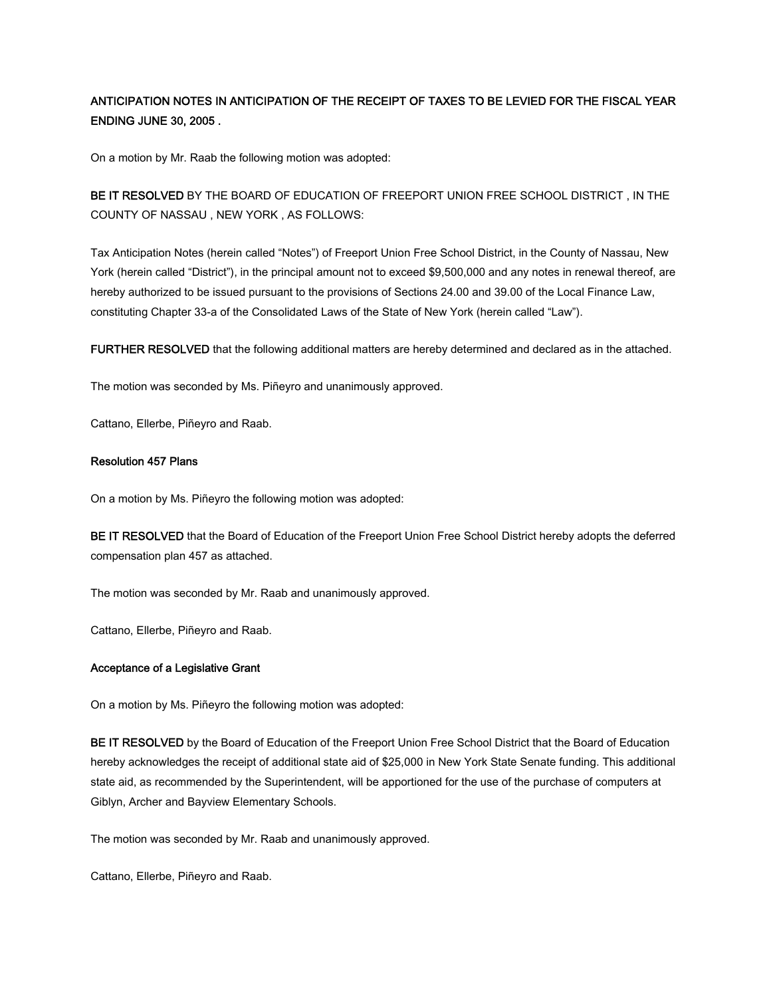## ANTICIPATION NOTES IN ANTICIPATION OF THE RECEIPT OF TAXES TO BE LEVIED FOR THE FISCAL YEAR ENDING JUNE 30, 2005 .

On a motion by Mr. Raab the following motion was adopted:

BE IT RESOLVED BY THE BOARD OF EDUCATION OF FREEPORT UNION FREE SCHOOL DISTRICT, IN THE COUNTY OF NASSAU , NEW YORK , AS FOLLOWS:

Tax Anticipation Notes (herein called "Notes") of Freeport Union Free School District, in the County of Nassau, New York (herein called "District"), in the principal amount not to exceed \$9,500,000 and any notes in renewal thereof, are hereby authorized to be issued pursuant to the provisions of Sections 24.00 and 39.00 of the Local Finance Law, constituting Chapter 33-a of the Consolidated Laws of the State of New York (herein called "Law").

FURTHER RESOLVED that the following additional matters are hereby determined and declared as in the attached.

The motion was seconded by Ms. Piñeyro and unanimously approved.

Cattano, Ellerbe, Piñeyro and Raab.

### Resolution 457 Plans

On a motion by Ms. Piñeyro the following motion was adopted:

BE IT RESOLVED that the Board of Education of the Freeport Union Free School District hereby adopts the deferred compensation plan 457 as attached.

The motion was seconded by Mr. Raab and unanimously approved.

Cattano, Ellerbe, Piñeyro and Raab.

#### Acceptance of a Legislative Grant

On a motion by Ms. Piñeyro the following motion was adopted:

BE IT RESOLVED by the Board of Education of the Freeport Union Free School District that the Board of Education hereby acknowledges the receipt of additional state aid of \$25,000 in New York State Senate funding. This additional state aid, as recommended by the Superintendent, will be apportioned for the use of the purchase of computers at Giblyn, Archer and Bayview Elementary Schools.

The motion was seconded by Mr. Raab and unanimously approved.

Cattano, Ellerbe, Piñeyro and Raab.